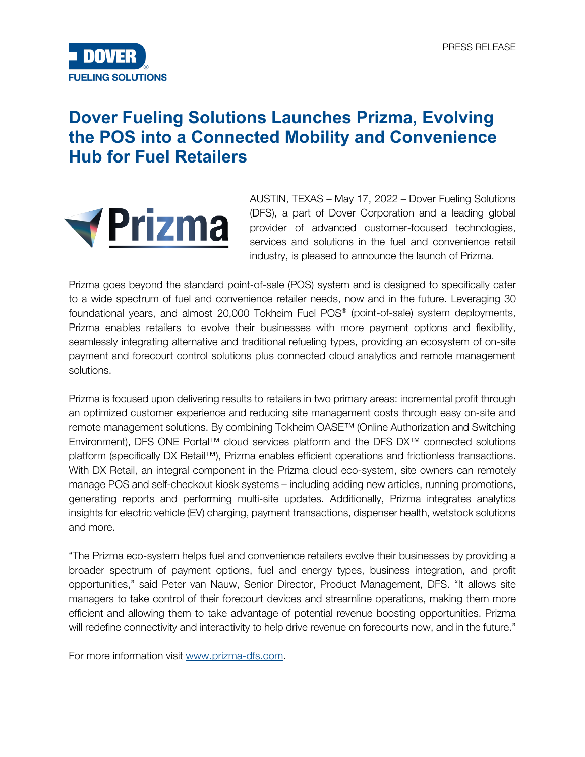

## **Dover Fueling Solutions Launches Prizma, Evolving the POS into a Connected Mobility and Convenience Hub for Fuel Retailers**



AUSTIN, TEXAS – May 17, 2022 – Dover Fueling Solutions (DFS), a part of Dover Corporation and a leading global provider of advanced customer-focused technologies, services and solutions in the fuel and convenience retail industry, is pleased to announce the launch of Prizma.

Prizma goes beyond the standard point-of-sale (POS) system and is designed to specifically cater to a wide spectrum of fuel and convenience retailer needs, now and in the future. Leveraging 30 foundational years, and almost 20,000 Tokheim Fuel POS® (point-of-sale) system deployments, Prizma enables retailers to evolve their businesses with more payment options and flexibility, seamlessly integrating alternative and traditional refueling types, providing an ecosystem of on-site payment and forecourt control solutions plus connected cloud analytics and remote management solutions.

Prizma is focused upon delivering results to retailers in two primary areas: incremental profit through an optimized customer experience and reducing site management costs through easy on-site and remote management solutions. By combining Tokheim OASE™ (Online Authorization and Switching Environment), DFS ONE Portal™ cloud services platform and the DFS DX™ connected solutions platform (specifically DX Retail™), Prizma enables efficient operations and frictionless transactions. With DX Retail, an integral component in the Prizma cloud eco-system, site owners can remotely manage POS and self-checkout kiosk systems – including adding new articles, running promotions, generating reports and performing multi-site updates. Additionally, Prizma integrates analytics insights for electric vehicle (EV) charging, payment transactions, dispenser health, wetstock solutions and more.

"The Prizma eco-system helps fuel and convenience retailers evolve their businesses by providing a broader spectrum of payment options, fuel and energy types, business integration, and profit opportunities," said Peter van Nauw, Senior Director, Product Management, DFS. "It allows site managers to take control of their forecourt devices and streamline operations, making them more efficient and allowing them to take advantage of potential revenue boosting opportunities. Prizma will redefine connectivity and interactivity to help drive revenue on forecourts now, and in the future."

For more information visit [www.prizma-dfs.com.](http://www.prizma-dfs.com/)